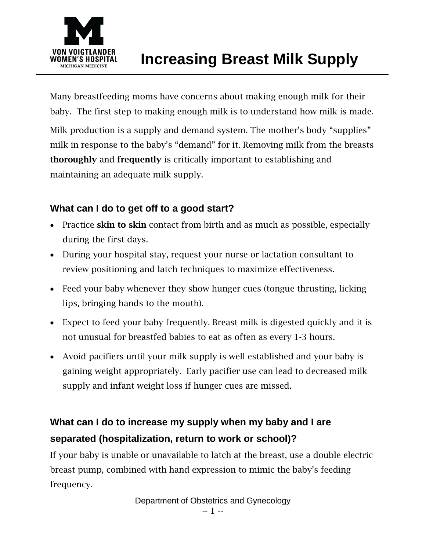

Many breastfeeding moms have concerns about making enough milk for their baby. The first step to making enough milk is to understand how milk is made. Milk production is a supply and demand system. The mother's body "supplies" milk in response to the baby's "demand" for it. Removing milk from the breasts thoroughly and frequently is critically important to establishing and maintaining an adequate milk supply.

# **What can I do to get off to a good start?**

- Practice skin to skin contact from birth and as much as possible, especially during the first days.
- During your hospital stay, request your nurse or lactation consultant to review positioning and latch techniques to maximize effectiveness.
- Feed your baby whenever they show hunger cues (tongue thrusting, licking lips, bringing hands to the mouth).
- Expect to feed your baby frequently. Breast milk is digested quickly and it is not unusual for breastfed babies to eat as often as every 1-3 hours.
- Avoid pacifiers until your milk supply is well established and your baby is gaining weight appropriately. Early pacifier use can lead to decreased milk supply and infant weight loss if hunger cues are missed.

# **What can I do to increase my supply when my baby and I are separated (hospitalization, return to work or school)?**

If your baby is unable or unavailable to latch at the breast, use a double electric breast pump, combined with hand expression to mimic the baby's feeding frequency.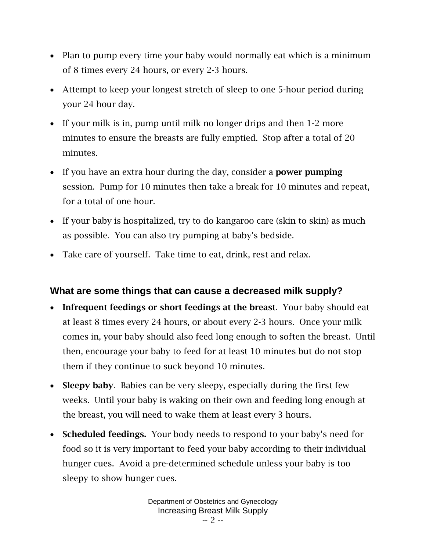- Plan to pump every time your baby would normally eat which is a minimum of 8 times every 24 hours, or every 2-3 hours.
- Attempt to keep your longest stretch of sleep to one 5-hour period during your 24 hour day.
- If your milk is in, pump until milk no longer drips and then 1-2 more minutes to ensure the breasts are fully emptied. Stop after a total of 20 minutes.
- If you have an extra hour during the day, consider a **power pumping** session. Pump for 10 minutes then take a break for 10 minutes and repeat, for a total of one hour.
- If your baby is hospitalized, try to do kangaroo care (skin to skin) as much as possible. You can also try pumping at baby's bedside.
- Take care of yourself. Take time to eat, drink, rest and relax.

## **What are some things that can cause a decreased milk supply?**

- Infrequent feedings or short feedings at the breast. Your baby should eat at least 8 times every 24 hours, or about every 2-3 hours. Once your milk comes in, your baby should also feed long enough to soften the breast. Until then, encourage your baby to feed for at least 10 minutes but do not stop them if they continue to suck beyond 10 minutes.
- Sleepy baby. Babies can be very sleepy, especially during the first few weeks. Until your baby is waking on their own and feeding long enough at the breast, you will need to wake them at least every 3 hours.
- Scheduled feedings. Your body needs to respond to your baby's need for food so it is very important to feed your baby according to their individual hunger cues. Avoid a pre-determined schedule unless your baby is too sleepy to show hunger cues.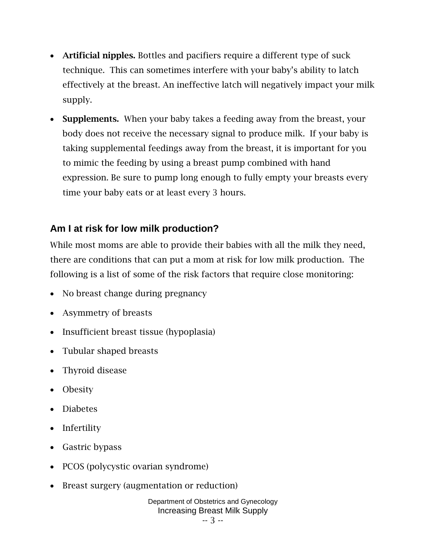- Artificial nipples. Bottles and pacifiers require a different type of suck technique. This can sometimes interfere with your baby's ability to latch effectively at the breast. An ineffective latch will negatively impact your milk supply.
- Supplements. When your baby takes a feeding away from the breast, your body does not receive the necessary signal to produce milk. If your baby is taking supplemental feedings away from the breast, it is important for you to mimic the feeding by using a breast pump combined with hand expression. Be sure to pump long enough to fully empty your breasts every time your baby eats or at least every 3 hours.

## **Am I at risk for low milk production?**

While most moms are able to provide their babies with all the milk they need, there are conditions that can put a mom at risk for low milk production. The following is a list of some of the risk factors that require close monitoring:

- No breast change during pregnancy
- Asymmetry of breasts
- Insufficient breast tissue (hypoplasia)
- Tubular shaped breasts
- Thyroid disease
- Obesity
- Diabetes
- Infertility
- Gastric bypass
- PCOS (polycystic ovarian syndrome)
- Breast surgery (augmentation or reduction)

Department of Obstetrics and Gynecology Increasing Breast Milk Supply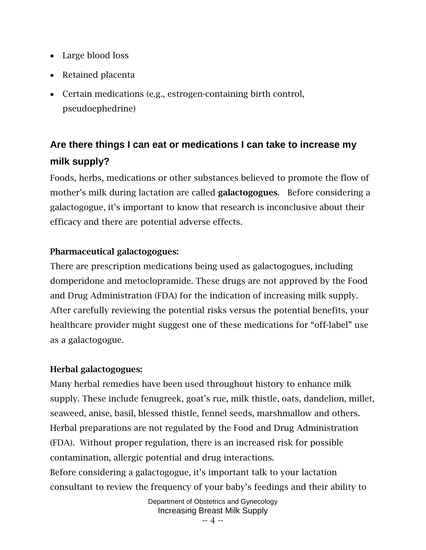- Large blood loss
- Retained placenta
- Certain medications (e.g., estrogen-containing birth control, pseudoephedrine)

# **Are there things I can eat or medications I can take to increase my milk supply?**

Foods, herbs, medications or other substances believed to promote the flow of mother's milk during lactation are called **galactogogues**. Before considering a galactogogue, it's important to know that research is inconclusive about their efficacy and there are potential adverse effects.

### Pharmaceutical galactogogues:

There are prescription medications being used as galactogogues, including domperidone and metoclopramide. These drugs are not approved by the Food and Drug Administration (FDA) for the indication of increasing milk supply. After carefully reviewing the potential risks versus the potential benefits, your healthcare provider might suggest one of these medications for "off-label" use as a galactogogue.

### Herbal galactogogues:

Many herbal remedies have been used throughout history to enhance milk supply. These include fenugreek, goat's rue, milk thistle, oats, dandelion, millet, seaweed, anise, basil, blessed thistle, fennel seeds, marshmallow and others. Herbal preparations are not regulated by the Food and Drug Administration (FDA). Without proper regulation, there is an increased risk for possible contamination, allergic potential and drug interactions. Before considering a galactogogue, it's important talk to your lactation consultant to review the frequency of your baby's feedings and their ability to

> Department of Obstetrics and Gynecology Increasing Breast Milk Supply